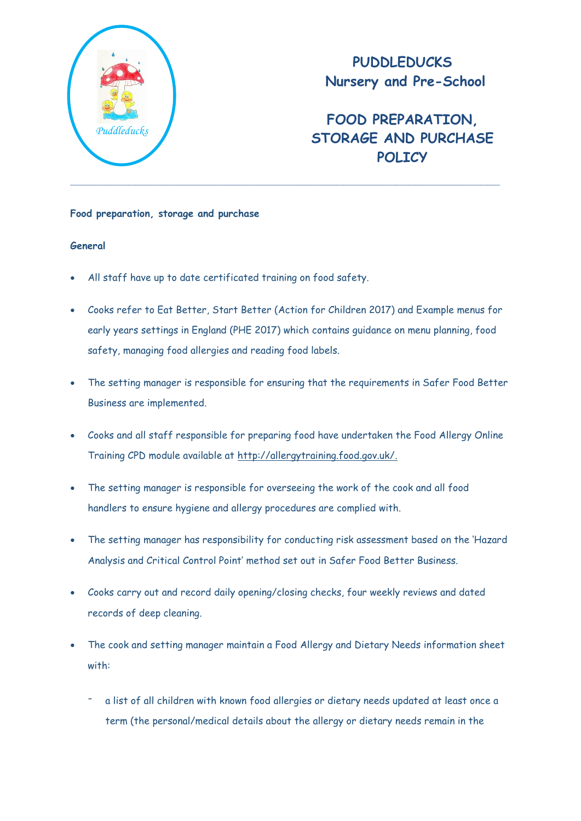

# **PUDDLEDUCKS Nursery and Pre-School**

# **FOOD PREPARATION, STORAGE AND PURCHASE POLICY**

## **Food preparation, storage and purchase**

# **General**

- All staff have up to date certificated training on food safety.
- Cooks refer to Eat Better, Start Better (Action for Children 2017) and Example menus for early years settings in England (PHE 2017) which contains guidance on menu planning, food safety, managing food allergies and reading food labels.
- The setting manager is responsible for ensuring that the requirements in Safer Food Better Business are implemented.
- Cooks and all staff responsible for preparing food have undertaken the Food Allergy Online Training CPD module available at [http://allergytraining.food.gov.uk/.](http://allergytraining.food.gov.uk/)
- The setting manager is responsible for overseeing the work of the cook and all food handlers to ensure hygiene and allergy procedures are complied with.
- The setting manager has responsibility for conducting risk assessment based on the 'Hazard Analysis and Critical Control Point' method set out in Safer Food Better Business.
- Cooks carry out and record daily opening/closing checks, four weekly reviews and dated records of deep cleaning.
- The cook and setting manager maintain a Food Allergy and Dietary Needs information sheet with:
	- a list of all children with known food allergies or dietary needs updated at least once a term (the personal/medical details about the allergy or dietary needs remain in the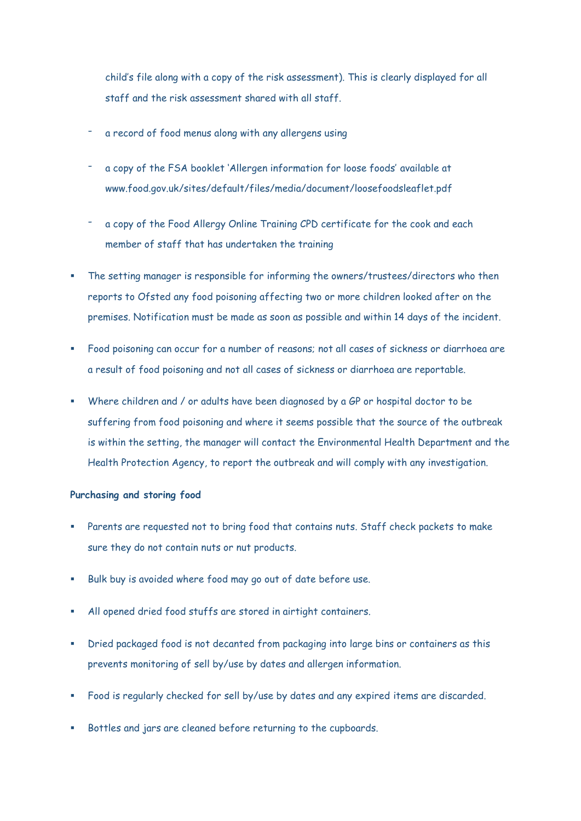child's file along with a copy of the risk assessment). This is clearly displayed for all staff and the risk assessment shared with all staff.

- a record of food menus along with any allergens using
- a copy of the FSA booklet 'Allergen information for loose foods' available at www.food.gov.uk/sites/default/files/media/document/loosefoodsleaflet.pdf
- a copy of the Food Allergy Online Training CPD certificate for the cook and each member of staff that has undertaken the training
- The setting manager is responsible for informing the owners/trustees/directors who then reports to Ofsted any food poisoning affecting two or more children looked after on the premises. Notification must be made as soon as possible and within 14 days of the incident.
- Food poisoning can occur for a number of reasons; not all cases of sickness or diarrhoea are a result of food poisoning and not all cases of sickness or diarrhoea are reportable.
- Where children and / or adults have been diagnosed by a GP or hospital doctor to be suffering from food poisoning and where it seems possible that the source of the outbreak is within the setting, the manager will contact the Environmental Health Department and the Health Protection Agency, to report the outbreak and will comply with any investigation.

#### **Purchasing and storing food**

- Parents are requested not to bring food that contains nuts. Staff check packets to make sure they do not contain nuts or nut products.
- Bulk buy is avoided where food may go out of date before use.
- All opened dried food stuffs are stored in airtight containers.
- Dried packaged food is not decanted from packaging into large bins or containers as this prevents monitoring of sell by/use by dates and allergen information.
- Food is regularly checked for sell by/use by dates and any expired items are discarded.
- Bottles and jars are cleaned before returning to the cupboards.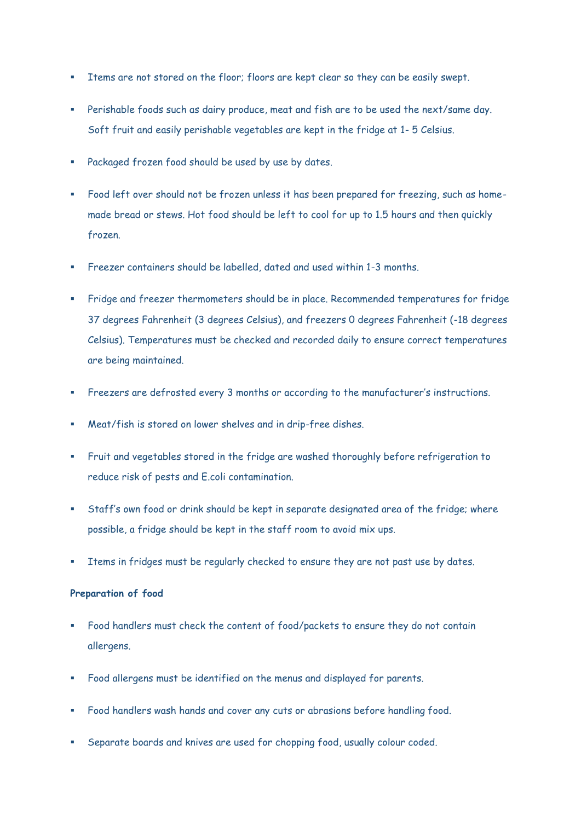- Items are not stored on the floor; floors are kept clear so they can be easily swept.
- Perishable foods such as dairy produce, meat and fish are to be used the next/same day. Soft fruit and easily perishable vegetables are kept in the fridge at 1- 5 Celsius.
- Packaged frozen food should be used by use by dates.
- Food left over should not be frozen unless it has been prepared for freezing, such as homemade bread or stews. Hot food should be left to cool for up to 1.5 hours and then quickly frozen.
- Freezer containers should be labelled, dated and used within 1-3 months.
- Fridge and freezer thermometers should be in place. Recommended temperatures for fridge 37 degrees Fahrenheit (3 degrees Celsius), and freezers 0 degrees Fahrenheit (-18 degrees Celsius). Temperatures must be checked and recorded daily to ensure correct temperatures are being maintained.
- Freezers are defrosted every 3 months or according to the manufacturer's instructions.
- Meat/fish is stored on lower shelves and in drip-free dishes.
- Fruit and vegetables stored in the fridge are washed thoroughly before refrigeration to reduce risk of pests and E.coli contamination.
- Staff's own food or drink should be kept in separate designated area of the fridge; where possible, a fridge should be kept in the staff room to avoid mix ups.
- Items in fridges must be regularly checked to ensure they are not past use by dates.

#### **Preparation of food**

- Food handlers must check the content of food/packets to ensure they do not contain allergens.
- Food allergens must be identified on the menus and displayed for parents.
- Food handlers wash hands and cover any cuts or abrasions before handling food.
- Separate boards and knives are used for chopping food, usually colour coded.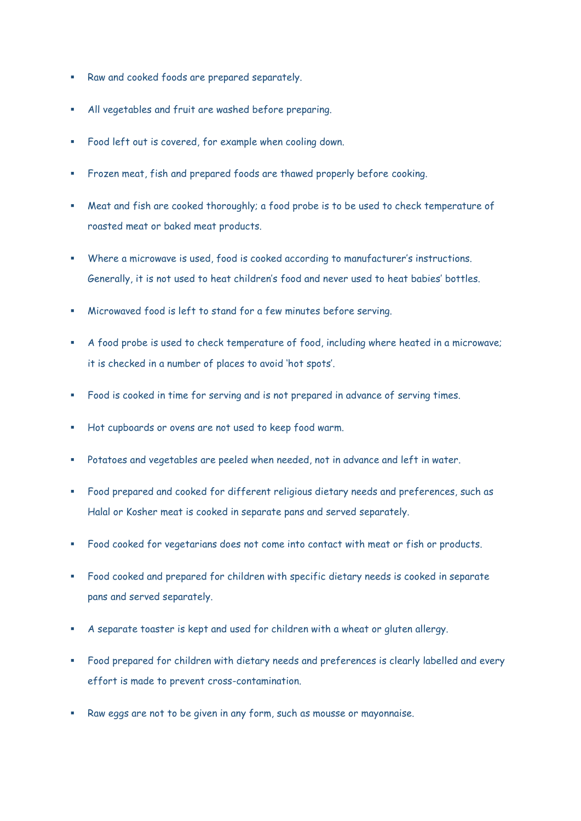- Raw and cooked foods are prepared separately.
- All vegetables and fruit are washed before preparing.
- Food left out is covered, for example when cooling down.
- Frozen meat, fish and prepared foods are thawed properly before cooking.
- Meat and fish are cooked thoroughly; a food probe is to be used to check temperature of roasted meat or baked meat products.
- Where a microwave is used, food is cooked according to manufacturer's instructions. Generally, it is not used to heat children's food and never used to heat babies' bottles.
- Microwaved food is left to stand for a few minutes before serving.
- A food probe is used to check temperature of food, including where heated in a microwave; it is checked in a number of places to avoid 'hot spots'.
- Food is cooked in time for serving and is not prepared in advance of serving times.
- Hot cupboards or ovens are not used to keep food warm.
- Potatoes and vegetables are peeled when needed, not in advance and left in water.
- Food prepared and cooked for different religious dietary needs and preferences, such as Halal or Kosher meat is cooked in separate pans and served separately.
- Food cooked for vegetarians does not come into contact with meat or fish or products.
- Food cooked and prepared for children with specific dietary needs is cooked in separate pans and served separately.
- A separate toaster is kept and used for children with a wheat or gluten allergy.
- Food prepared for children with dietary needs and preferences is clearly labelled and every effort is made to prevent cross-contamination.
- Raw eggs are not to be given in any form, such as mousse or mayonnaise.